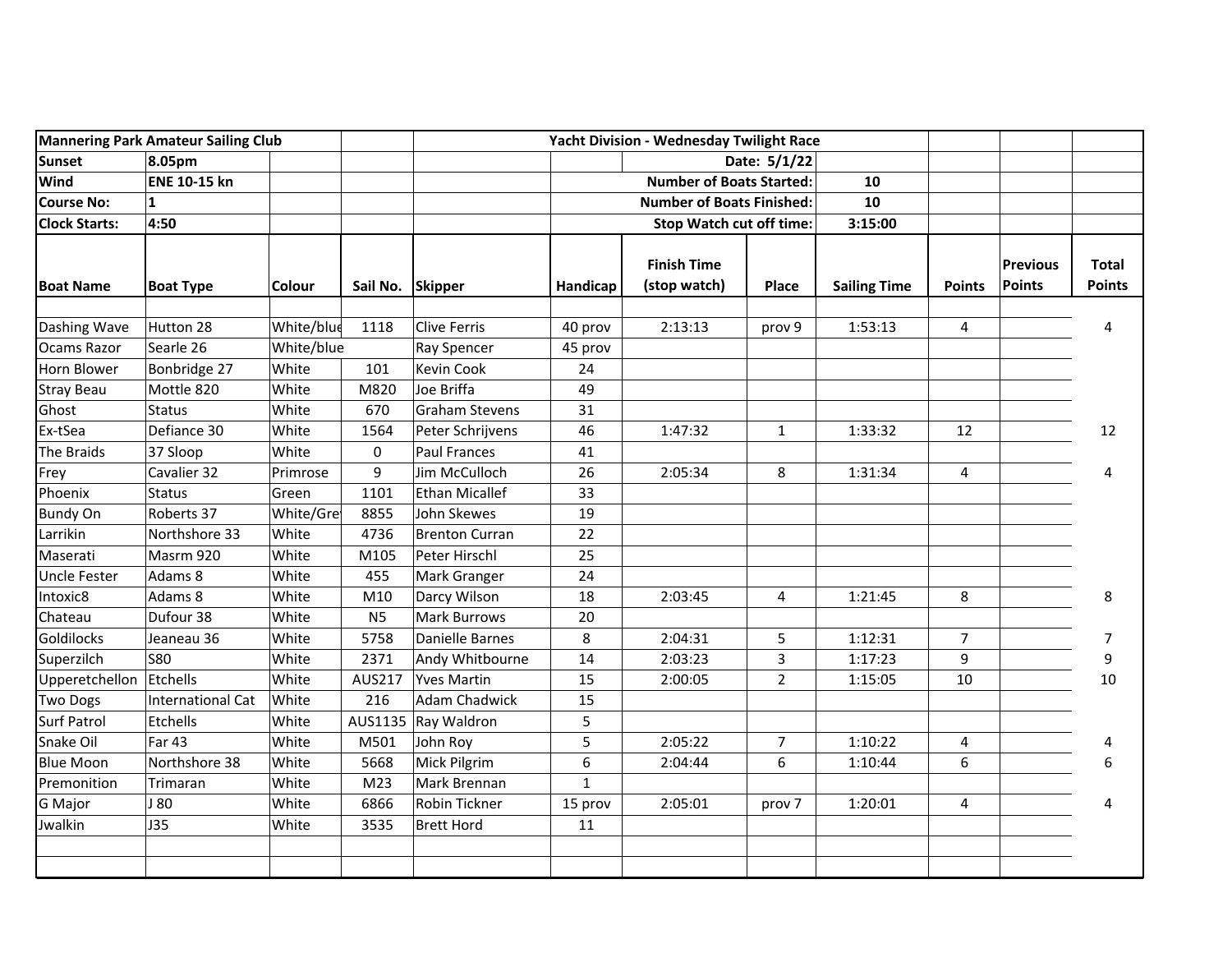|                         | <b>Mannering Park Amateur Sailing Club</b> |            |                 |                       |                                                                                 | Yacht Division - Wednesday Twilight Race |                |                     |                |                                  |                               |
|-------------------------|--------------------------------------------|------------|-----------------|-----------------------|---------------------------------------------------------------------------------|------------------------------------------|----------------|---------------------|----------------|----------------------------------|-------------------------------|
| Sunset                  | 8.05pm                                     |            |                 |                       | Date: 5/1/22                                                                    |                                          |                |                     |                |                                  |                               |
| Wind                    | <b>ENE 10-15 kn</b>                        |            |                 |                       | <b>Number of Boats Started:</b><br>10<br><b>Number of Boats Finished:</b><br>10 |                                          |                |                     |                |                                  |                               |
| <b>Course No:</b>       | $\mathbf{1}$                               | Colour     | Sail No.        | <b>Skipper</b>        |                                                                                 |                                          |                |                     |                |                                  |                               |
| <b>Clock Starts:</b>    | 4:50<br><b>Boat Type</b>                   |            |                 |                       | <b>Stop Watch cut off time:</b><br>3:15:00                                      |                                          |                |                     |                |                                  |                               |
| <b>Boat Name</b>        |                                            |            |                 |                       | Handicap                                                                        | <b>Finish Time</b><br>(stop watch)       | Place          | <b>Sailing Time</b> | <b>Points</b>  | <b>Previous</b><br><b>Points</b> | <b>Total</b><br><b>Points</b> |
| Dashing Wave            | Hutton 28                                  | White/blue | 1118            | Clive Ferris          | 40 prov                                                                         | 2:13:13                                  | prov 9         | 1:53:13             | 4              |                                  | 4                             |
| <b>Ocams Razor</b>      | Searle 26                                  | White/blue |                 | Ray Spencer           | 45 prov                                                                         |                                          |                |                     |                |                                  |                               |
| Horn Blower             | Bonbridge 27                               | White      | 101             | Kevin Cook            | 24                                                                              |                                          |                |                     |                |                                  |                               |
| <b>Stray Beau</b>       | Mottle 820                                 | White      | M820            | Joe Briffa            | 49                                                                              |                                          |                |                     |                |                                  |                               |
| Ghost                   | <b>Status</b>                              | White      | 670             | <b>Graham Stevens</b> | 31                                                                              |                                          |                |                     |                |                                  |                               |
| Ex-tSea                 | Defiance 30                                | White      | 1564            | Peter Schrijvens      | 46                                                                              | 1:47:32                                  | $\mathbf{1}$   | 1:33:32             | 12             |                                  | 12                            |
| The Braids              | 37 Sloop                                   | White      | $\pmb{0}$       | <b>Paul Frances</b>   | 41                                                                              |                                          |                |                     |                |                                  |                               |
| Frey                    | Cavalier 32                                | Primrose   | 9               | Jim McCulloch         | 26                                                                              | 2:05:34                                  | 8              | 1:31:34             | $\overline{4}$ |                                  | 4                             |
| Phoenix                 | Status                                     | Green      | 1101            | Ethan Micallef        | 33                                                                              |                                          |                |                     |                |                                  |                               |
| <b>Bundy On</b>         | Roberts 37                                 | White/Gre  | 8855            | John Skewes           | 19                                                                              |                                          |                |                     |                |                                  |                               |
| Larrikin                | Northshore 33                              | White      | 4736            | <b>Brenton Curran</b> | 22                                                                              |                                          |                |                     |                |                                  |                               |
| Maserati                | Masrm 920                                  | White      | M105            | Peter Hirschl         | 25                                                                              |                                          |                |                     |                |                                  |                               |
| <b>Uncle Fester</b>     | Adams 8                                    | White      | 455             | Mark Granger          | 24                                                                              |                                          |                |                     |                |                                  |                               |
| Intoxic8                | Adams 8                                    | White      | M10             | Darcy Wilson          | 18                                                                              | 2:03:45                                  | 4              | 1:21:45             | 8              |                                  | 8                             |
| Chateau                 | Dufour 38                                  | White      | N <sub>5</sub>  | <b>Mark Burrows</b>   | 20                                                                              |                                          |                |                     |                |                                  |                               |
| Goldilocks              | Jeaneau 36                                 | White      | 5758            | Danielle Barnes       | 8                                                                               | 2:04:31                                  | 5              | 1:12:31             | $\overline{7}$ |                                  | $\boldsymbol{7}$              |
| Superzilch              | <b>S80</b>                                 | White      | 2371            | Andy Whitbourne       | 14                                                                              | 2:03:23                                  | 3              | 1:17:23             | 9              |                                  | 9                             |
| Upperetchellon Etchells |                                            | White      | AUS217          | <b>Yves Martin</b>    | 15                                                                              | 2:00:05                                  | $\overline{2}$ | 1:15:05             | 10             |                                  | 10                            |
| <b>Two Dogs</b>         | International Cat                          | White      | 216             | <b>Adam Chadwick</b>  | 15                                                                              |                                          |                |                     |                |                                  |                               |
| <b>Surf Patrol</b>      | Etchells                                   | White      | AUS1135         | Ray Waldron           | 5                                                                               |                                          |                |                     |                |                                  |                               |
| Snake Oil               | Far 43                                     | White      | M501            | John Roy              | 5                                                                               | 2:05:22                                  | $\overline{7}$ | 1:10:22             | 4              |                                  | 4                             |
| <b>Blue Moon</b>        | Northshore 38                              | White      | 5668            | Mick Pilgrim          | 6                                                                               | 2:04:44                                  | 6              | 1:10:44             | 6              |                                  | 6                             |
| Premonition             | Trimaran                                   | White      | M <sub>23</sub> | Mark Brennan          | $\mathbf{1}$                                                                    |                                          |                |                     |                |                                  |                               |
| G Major                 | J 80                                       | White      | 6866            | Robin Tickner         | 15 prov                                                                         | 2:05:01                                  | prov 7         | 1:20:01             | $\overline{4}$ |                                  | 4                             |
| Jwalkin                 | <b>J35</b>                                 | White      | 3535            | <b>Brett Hord</b>     | 11                                                                              |                                          |                |                     |                |                                  |                               |